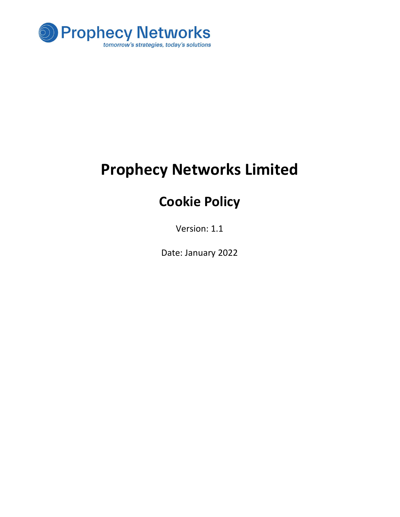

# Prophecy Networks Limited

## Cookie Policy

Version: 1.1

Date: January 2022